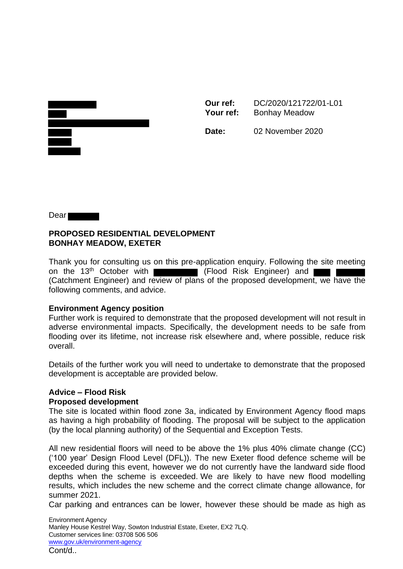**Our ref:** DC/2020/121722/01-L01 Your ref: Bonhay Meadow



**Date:** 02 November 2020

Dear<sup>1</sup>

## **PROPOSED RESIDENTIAL DEVELOPMENT BONHAY MEADOW, EXETER**

Thank you for consulting us on this pre-application enquiry. Following the site meeting on the 13<sup>th</sup> October with (Flood Risk Engineer) and (Catchment Engineer) and review of plans of the proposed development, we have the following comments, and advice.

## **Environment Agency position**

Further work is required to demonstrate that the proposed development will not result in adverse environmental impacts. Specifically, the development needs to be safe from flooding over its lifetime, not increase risk elsewhere and, where possible, reduce risk overall.

Details of the further work you will need to undertake to demonstrate that the proposed development is acceptable are provided below.

## **Advice – Flood Risk Proposed development**

The site is located within flood zone 3a, indicated by Environment Agency flood maps as having a high probability of flooding. The proposal will be subject to the application (by the local planning authority) of the Sequential and Exception Tests.

All new residential floors will need to be above the 1% plus 40% climate change (CC) ('100 year' Design Flood Level (DFL)). The new Exeter flood defence scheme will be exceeded during this event, however we do not currently have the landward side flood depths when the scheme is exceeded. We are likely to have new flood modelling results, which includes the new scheme and the correct climate change allowance, for summer 2021.

Car parking and entrances can be lower, however these should be made as high as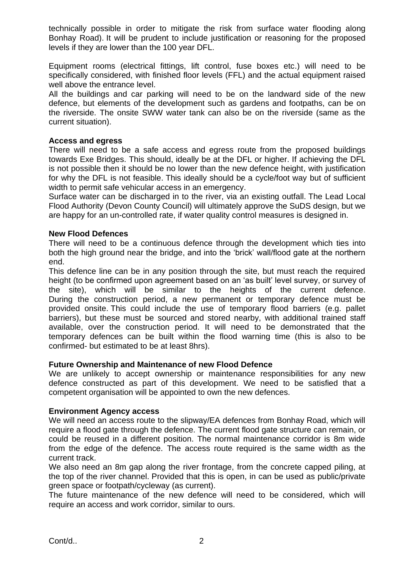technically possible in order to mitigate the risk from surface water flooding along Bonhay Road). It will be prudent to include justification or reasoning for the proposed levels if they are lower than the 100 year DFL.

Equipment rooms (electrical fittings, lift control, fuse boxes etc.) will need to be specifically considered, with finished floor levels (FFL) and the actual equipment raised well above the entrance level.

All the buildings and car parking will need to be on the landward side of the new defence, but elements of the development such as gardens and footpaths, can be on the riverside. The onsite SWW water tank can also be on the riverside (same as the current situation).

#### **Access and egress**

There will need to be a safe access and egress route from the proposed buildings towards Exe Bridges. This should, ideally be at the DFL or higher. If achieving the DFL is not possible then it should be no lower than the new defence height, with justification for why the DFL is not feasible. This ideally should be a cycle/foot way but of sufficient width to permit safe vehicular access in an emergency.

Surface water can be discharged in to the river, via an existing outfall. The Lead Local Flood Authority (Devon County Council) will ultimately approve the SuDS design, but we are happy for an un-controlled rate, if water quality control measures is designed in.

#### **New Flood Defences**

There will need to be a continuous defence through the development which ties into both the high ground near the bridge, and into the 'brick' wall/flood gate at the northern end.

This defence line can be in any position through the site, but must reach the required height (to be confirmed upon agreement based on an 'as built' level survey, or survey of the site), which will be similar to the heights of the current defence. During the construction period, a new permanent or temporary defence must be provided onsite. This could include the use of temporary flood barriers (e.g. pallet barriers), but these must be sourced and stored nearby, with additional trained staff available, over the construction period. It will need to be demonstrated that the temporary defences can be built within the flood warning time (this is also to be confirmed- but estimated to be at least 8hrs).

## **Future Ownership and Maintenance of new Flood Defence**

We are unlikely to accept ownership or maintenance responsibilities for any new defence constructed as part of this development. We need to be satisfied that a competent organisation will be appointed to own the new defences.

## **Environment Agency access**

We will need an access route to the slipway/EA defences from Bonhay Road, which will require a flood gate through the defence. The current flood gate structure can remain, or could be reused in a different position. The normal maintenance corridor is 8m wide from the edge of the defence. The access route required is the same width as the current track.

We also need an 8m gap along the river frontage, from the concrete capped piling, at the top of the river channel. Provided that this is open, in can be used as public/private green space or footpath/cycleway (as current).

The future maintenance of the new defence will need to be considered, which will require an access and work corridor, similar to ours.